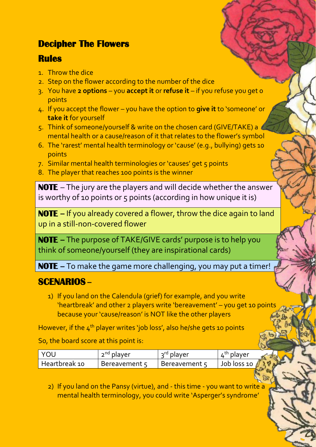## **Decipher The Flowers**

## **Rules**

- 1. Throw the dice
- 2. Step on the flower according to the number of the dice
- 3. You have **2 options** you **accept it** or **refuse it** if you refuse you get 0 points
- 4. If you accept the flower you have the option to **give it** to 'someone' or **take it** for yourself
- 5. Think of someone/yourself & write on the chosen card (GIVE/TAKE) a mental health or a cause/reason of it that relates to the flower's symbol
- 6. The 'rarest' mental health terminology or 'cause' (e.g., bullying) gets 10 points
- 7. Similar mental health terminologies or 'causes' get 5 points
- 8. The player that reaches 100 points is the winner

**NOTE** – The jury are the players and will decide whether the answer is worthy of 10 points or 5 points (according in how unique it is)

**NOTE –** If you already covered a flower, throw the dice again to land up in a still-non-covered flower

**NOTE –** The purpose of TAKE/GIVE cards' purpose is to help you think of someone/yourself (they are inspirational cards)

**NOTE –** To make the game more challenging, you may put a timer!

## **SCENARIOS –**

1) If you land on the Calendula (grief) for example, and you write 'heartbreak' and other 2 players write 'bereavement' – you get 10 points because your 'cause/reason' is NOT like the other players

However, if the  $4<sup>th</sup>$  player writes 'job loss', also he/she gets 10 points

So, the board score at this point is:

| I YOU         | 2 <sup>nd</sup> player | 3rd player    | 4th player             |
|---------------|------------------------|---------------|------------------------|
| Heartbreak 10 | Bereavement 5          | Bereavement 5 | Job loss 10 $\sqrt{ }$ |

2) If you land on the Pansy (virtue), and - this time - you want to write a mental health terminology, you could write 'Asperger's syndrome'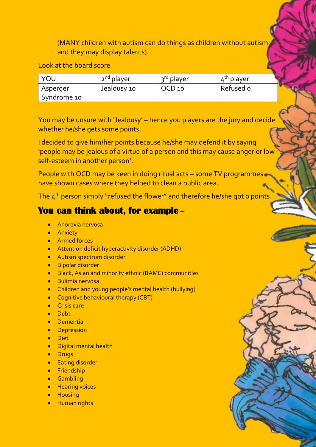(MANY children with autism can do things as children without autism and they may display talents).

Look at the board score

| YOU         | 2 <sup>nd</sup> player | 3rd player        | $4^{\text{th}}$ player |
|-------------|------------------------|-------------------|------------------------|
| Asperger    | Jealousy 10            | OCD <sub>10</sub> | Refused o              |
| Syndrome 10 |                        |                   |                        |

You may be unsure with 'Jealousy' – hence you players are the jury and decide whether he/she gets some points.

I decided to give him/her points because he/she may defend it by saying 'people may be jealous of a virtue of a person and this may cause anger or lowself-esteem in another person'.

People with OCD may be keen in doing ritual acts – some TV programmes have shown cases where they helped to clean a public area.

The 4 th person simply "refused the flower" and therefore he/she got 0 points.

## **You can think about, for example** –

- Anorexia nervosa
- Anxiety
- Armed forces
- Attention deficit hyperactivity disorder (ADHD)
- Autism spectrum disorder
- Bipolar disorder
- Black, Asian and minority ethnic (BAME) communities
- Bulimia nervosa
- Children and young people's mental health (bullying)
- Cognitive behavioural therapy (CBT)
- Crisis care
- Debt
- Dementia
- Depression
- Diet
- Digital mental health
- Drugs
- Eating disorder
- Friendship
- Gambling
- Hearing voices
- Housing
- Human rights